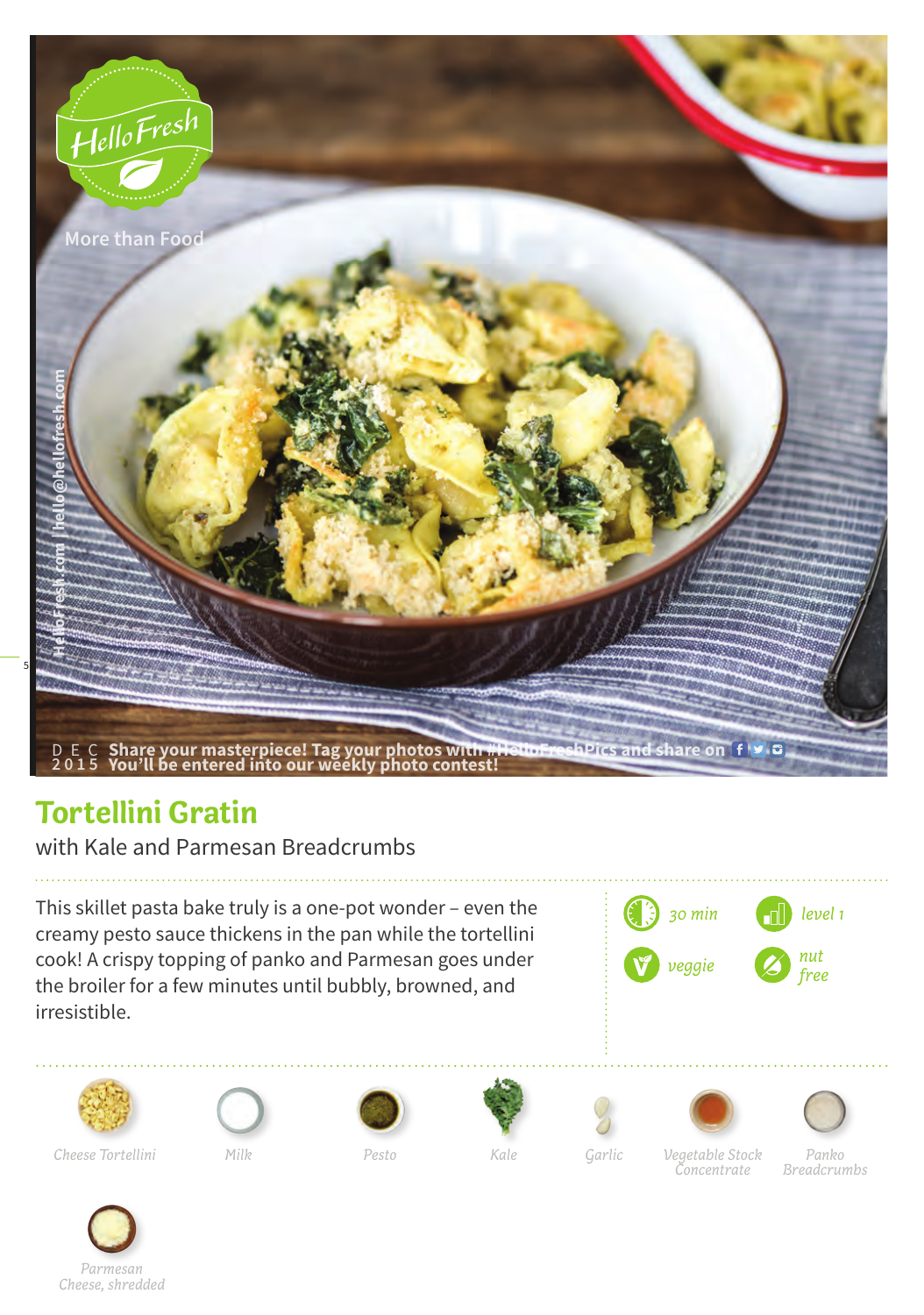

## **Tortellini Gratin**

with Kale and Parmesan Breadcrumbs

This skillet pasta bake truly is a one-pot wonder – even the creamy pesto sauce thickens in the pan while the tortellini cook! A crispy topping of panko and Parmesan goes under the broiler for a few minutes until bubbly, browned, and irresistible.

















*Cheese Tortellini Vegetable Stock* 

*Milk Pesto Kale Garlic*

*Concentrate*

*Panko Breadcrumbs*